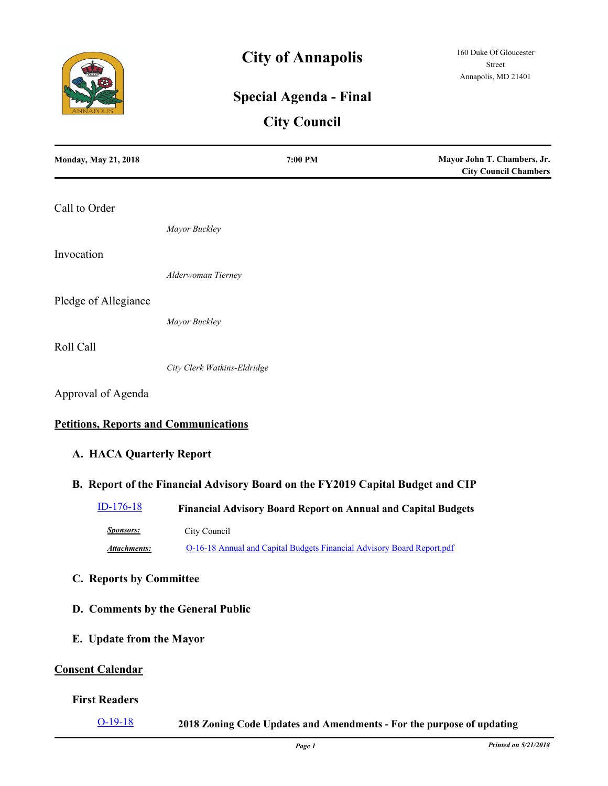

# **City of Annapolis**

## **Special Agenda - Final**

### **City Council**

| <b>Monday, May 21, 2018</b>                  | 7:00 PM                                                                        | Mayor John T. Chambers, Jr.<br><b>City Council Chambers</b> |
|----------------------------------------------|--------------------------------------------------------------------------------|-------------------------------------------------------------|
| Call to Order                                |                                                                                |                                                             |
|                                              | Mayor Buckley                                                                  |                                                             |
| Invocation                                   |                                                                                |                                                             |
|                                              | Alderwoman Tierney                                                             |                                                             |
| Pledge of Allegiance                         |                                                                                |                                                             |
|                                              | Mayor Buckley                                                                  |                                                             |
| Roll Call                                    |                                                                                |                                                             |
|                                              | City Clerk Watkins-Eldridge                                                    |                                                             |
| Approval of Agenda                           |                                                                                |                                                             |
| <b>Petitions, Reports and Communications</b> |                                                                                |                                                             |
| A. HACA Quarterly Report                     |                                                                                |                                                             |
|                                              | B. Report of the Financial Advisory Board on the FY2019 Capital Budget and CIP |                                                             |
| ID-176-18                                    | <b>Financial Advisory Board Report on Annual and Capital Budgets</b>           |                                                             |
| <b>Sponsors:</b>                             | City Council                                                                   |                                                             |
| <b>Attachments:</b>                          | O-16-18 Annual and Capital Budgets Financial Advisory Board Report.pdf         |                                                             |
| C. Reports by Committee                      |                                                                                |                                                             |
|                                              | D. Comments by the General Public                                              |                                                             |
| E. Update from the Mayor                     |                                                                                |                                                             |
| <b>Consent Calendar</b>                      |                                                                                |                                                             |
| <b>First Readers</b>                         |                                                                                |                                                             |

[O-19-18](http://annapolismd.legistar.com/gateway.aspx?m=l&id=/matter.aspx?key=3645) **2018 Zoning Code Updates and Amendments - For the purpose of updating**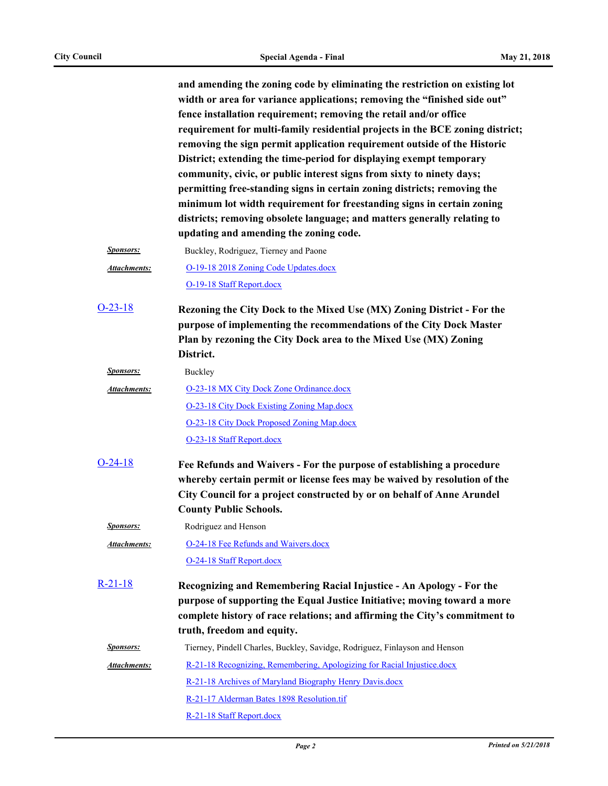**and amending the zoning code by eliminating the restriction on existing lot width or area for variance applications; removing the "finished side out" fence installation requirement; removing the retail and/or office requirement for multi-family residential projects in the BCE zoning district; removing the sign permit application requirement outside of the Historic District; extending the time-period for displaying exempt temporary community, civic, or public interest signs from sixty to ninety days; permitting free-standing signs in certain zoning districts; removing the minimum lot width requirement for freestanding signs in certain zoning districts; removing obsolete language; and matters generally relating to updating and amending the zoning code.**

| <i>Sponsors:</i> | Buckley, Rodriguez, Tierney and Paone |
|------------------|---------------------------------------|
| Attachments:     | O-19-18 2018 Zoning Code Updates.docx |

[O-19-18 Staff Report.docx](http://annapolismd.legistar.com/gateway.aspx?M=F&ID=7d0d5f20-679b-4fbe-b90e-1738ebc792df.docx)

**Rezoning the City Dock to the Mixed Use (MX) Zoning District - For the purpose of implementing the recommendations of the City Dock Master Plan by rezoning the City Dock area to the Mixed Use (MX) Zoning District.** [O-23-18](http://annapolismd.legistar.com/gateway.aspx?m=l&id=/matter.aspx?key=3685)

|              | P                                          |
|--------------|--------------------------------------------|
| Attachments: | O-23-18 MX City Dock Zone Ordinance.docx   |
|              | O-23-18 City Dock Existing Zoning Map.docx |
|              | O-23-18 City Dock Proposed Zoning Map.docx |
|              | O-23-18 Staff Report.docx                  |

- **Fee Refunds and Waivers For the purpose of establishing a procedure whereby certain permit or license fees may be waived by resolution of the City Council for a project constructed by or on behalf of Anne Arundel County Public Schools.** [O-24-18](http://annapolismd.legistar.com/gateway.aspx?m=l&id=/matter.aspx?key=3698)
	- *Sponsors:* Rodriguez and Henson

*Sponsors:* Buckley

[O-24-18 Fee Refunds and Waivers.docx](http://annapolismd.legistar.com/gateway.aspx?M=F&ID=edc44797-47b7-40dc-957b-95de8c09cc26.docx) [O-24-18 Staff Report.docx](http://annapolismd.legistar.com/gateway.aspx?M=F&ID=147de383-1576-4f52-8c5d-a65efa48cd6e.docx) *Attachments:*

**Recognizing and Remembering Racial Injustice - An Apology - For the purpose of supporting the Equal Justice Initiative; moving toward a more complete history of race relations; and affirming the City's commitment to truth, freedom and equity.** [R-21-18](http://annapolismd.legistar.com/gateway.aspx?m=l&id=/matter.aspx?key=3671)

| <i>Sponsors:</i> | Tierney, Pindell Charles, Buckley, Savidge, Rodriguez, Finlayson and Henson |  |  |
|------------------|-----------------------------------------------------------------------------|--|--|
| Attachments:     | R-21-18 Recognizing, Remembering, Apologizing for Racial Injustice.docx     |  |  |
|                  | R-21-18 Archives of Maryland Biography Henry Davis.docx                     |  |  |
|                  | R-21-17 Alderman Bates 1898 Resolution.tif                                  |  |  |
|                  | R-21-18 Staff Report.docx                                                   |  |  |
|                  |                                                                             |  |  |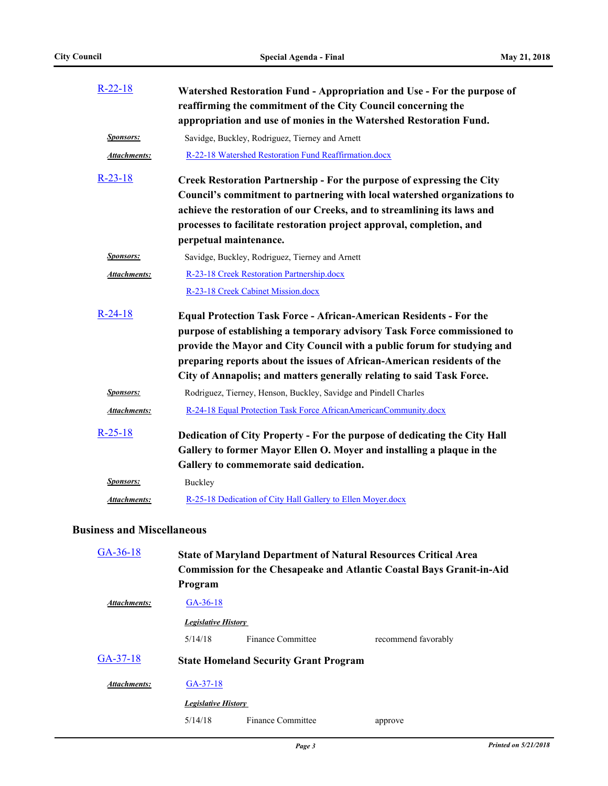| $R-22-18$           | Watershed Restoration Fund - Appropriation and Use - For the purpose of<br>reaffirming the commitment of the City Council concerning the<br>appropriation and use of monies in the Watershed Restoration Fund.                                                                                                                   |
|---------------------|----------------------------------------------------------------------------------------------------------------------------------------------------------------------------------------------------------------------------------------------------------------------------------------------------------------------------------|
| <b>Sponsors:</b>    | Savidge, Buckley, Rodriguez, Tierney and Arnett                                                                                                                                                                                                                                                                                  |
| Attachments:        | R-22-18 Watershed Restoration Fund Reaffirmation.docx                                                                                                                                                                                                                                                                            |
| $R-23-18$           | Creek Restoration Partnership - For the purpose of expressing the City<br>Council's commitment to partnering with local watershed organizations to<br>achieve the restoration of our Creeks, and to streamlining its laws and<br>processes to facilitate restoration project approval, completion, and<br>perpetual maintenance. |
| <b>Sponsors:</b>    | Savidge, Buckley, Rodriguez, Tierney and Arnett                                                                                                                                                                                                                                                                                  |
| <b>Attachments:</b> | R-23-18 Creek Restoration Partnership.docx<br>R-23-18 Creek Cabinet Mission.docx                                                                                                                                                                                                                                                 |
| $R-24-18$           | <b>Equal Protection Task Force - African-American Residents - For the</b><br>purpose of establishing a temporary advisory Task Force commissioned to<br>provide the Mayor and City Council with a public forum for studying and<br>preparing reports about the issues of African-American residents of the                       |
|                     | City of Annapolis; and matters generally relating to said Task Force.                                                                                                                                                                                                                                                            |
| <b>Sponsors:</b>    | Rodriguez, Tierney, Henson, Buckley, Savidge and Pindell Charles                                                                                                                                                                                                                                                                 |
| <b>Attachments:</b> | R-24-18 Equal Protection Task Force AfricanAmericanCommunity.docx                                                                                                                                                                                                                                                                |
| $R-25-18$           | Dedication of City Property - For the purpose of dedicating the City Hall                                                                                                                                                                                                                                                        |
|                     | Gallery to former Mayor Ellen O. Moyer and installing a plaque in the                                                                                                                                                                                                                                                            |
|                     | Gallery to commemorate said dedication.                                                                                                                                                                                                                                                                                          |
| <i>Sponsors:</i>    | Buckley                                                                                                                                                                                                                                                                                                                          |
| <b>Attachments:</b> | R-25-18 Dedication of City Hall Gallery to Ellen Moyer.docx                                                                                                                                                                                                                                                                      |

#### **Business and Miscellaneous**

| $GA-36-18$                 | <b>State of Maryland Department of Natural Resources Critical Area</b><br><b>Commission for the Chesapeake and Atlantic Coastal Bays Granit-in-Aid</b> |                                              |                     |
|----------------------------|--------------------------------------------------------------------------------------------------------------------------------------------------------|----------------------------------------------|---------------------|
|                            | Program                                                                                                                                                |                                              |                     |
| Attachments:               | $GA-36-18$                                                                                                                                             |                                              |                     |
| <b>Legislative History</b> |                                                                                                                                                        |                                              |                     |
|                            | 5/14/18                                                                                                                                                | Finance Committee                            | recommend favorably |
| $GA-37-18$                 |                                                                                                                                                        | <b>State Homeland Security Grant Program</b> |                     |
| Attachments:               | $GA-37-18$                                                                                                                                             |                                              |                     |
|                            | <b>Legislative History</b>                                                                                                                             |                                              |                     |
|                            | 5/14/18                                                                                                                                                | Finance Committee                            | approve             |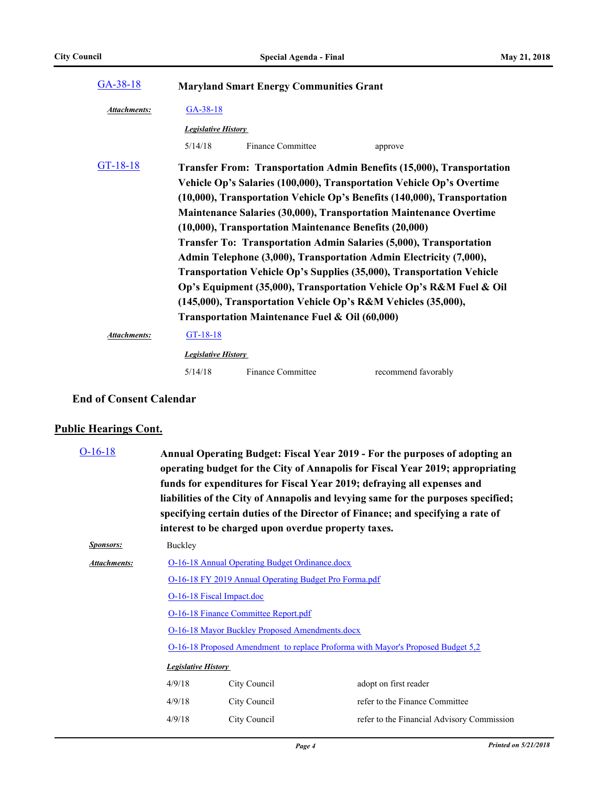| $GA-38-18$          |                            | <b>Maryland Smart Energy Communities Grant</b>                                                           |                                                                                                                                                                                                                                                                                                                                                                                                                                                                                                                                                                                                                                                                             |
|---------------------|----------------------------|----------------------------------------------------------------------------------------------------------|-----------------------------------------------------------------------------------------------------------------------------------------------------------------------------------------------------------------------------------------------------------------------------------------------------------------------------------------------------------------------------------------------------------------------------------------------------------------------------------------------------------------------------------------------------------------------------------------------------------------------------------------------------------------------------|
| <b>Attachments:</b> | $GA-38-18$                 |                                                                                                          |                                                                                                                                                                                                                                                                                                                                                                                                                                                                                                                                                                                                                                                                             |
|                     | <b>Legislative History</b> |                                                                                                          |                                                                                                                                                                                                                                                                                                                                                                                                                                                                                                                                                                                                                                                                             |
|                     | 5/14/18                    | Finance Committee                                                                                        | approve                                                                                                                                                                                                                                                                                                                                                                                                                                                                                                                                                                                                                                                                     |
| $GT-18-18$          |                            | (10,000), Transportation Maintenance Benefits (20,000)<br>Transportation Maintenance Fuel & Oil (60,000) | <b>Transfer From: Transportation Admin Benefits (15,000), Transportation</b><br>Vehicle Op's Salaries (100,000), Transportation Vehicle Op's Overtime<br>(10,000), Transportation Vehicle Op's Benefits (140,000), Transportation<br><b>Maintenance Salaries (30,000), Transportation Maintenance Overtime</b><br>Transfer To: Transportation Admin Salaries (5,000), Transportation<br>Admin Telephone (3,000), Transportation Admin Electricity (7,000),<br>Transportation Vehicle Op's Supplies (35,000), Transportation Vehicle<br>Op's Equipment (35,000), Transportation Vehicle Op's R&M Fuel & Oil<br>(145,000), Transportation Vehicle Op's R&M Vehicles (35,000), |
| <b>Attachments:</b> | GT-18-18                   |                                                                                                          |                                                                                                                                                                                                                                                                                                                                                                                                                                                                                                                                                                                                                                                                             |
|                     | <b>Legislative History</b> |                                                                                                          |                                                                                                                                                                                                                                                                                                                                                                                                                                                                                                                                                                                                                                                                             |
|                     | 5/14/18                    | Finance Committee                                                                                        | recommend favorably                                                                                                                                                                                                                                                                                                                                                                                                                                                                                                                                                                                                                                                         |

#### **End of Consent Calendar**

### **Public Hearings Cont.**

| $O-16-18$           | Annual Operating Budget: Fiscal Year 2019 - For the purposes of adopting an<br>operating budget for the City of Annapolis for Fiscal Year 2019; appropriating<br>funds for expenditures for Fiscal Year 2019; defraying all expenses and<br>liabilities of the City of Annapolis and levying same for the purposes specified;<br>specifying certain duties of the Director of Finance; and specifying a rate of<br>interest to be charged upon overdue property taxes. |                                                                                 |                                            |  |
|---------------------|------------------------------------------------------------------------------------------------------------------------------------------------------------------------------------------------------------------------------------------------------------------------------------------------------------------------------------------------------------------------------------------------------------------------------------------------------------------------|---------------------------------------------------------------------------------|--------------------------------------------|--|
| <i>Sponsors:</i>    | Buckley                                                                                                                                                                                                                                                                                                                                                                                                                                                                |                                                                                 |                                            |  |
| <b>Attachments:</b> | <b>O-16-18 Annual Operating Budget Ordinance.docx</b>                                                                                                                                                                                                                                                                                                                                                                                                                  |                                                                                 |                                            |  |
|                     | O-16-18 FY 2019 Annual Operating Budget Pro Forma.pdf                                                                                                                                                                                                                                                                                                                                                                                                                  |                                                                                 |                                            |  |
|                     | O-16-18 Fiscal Impact.doc                                                                                                                                                                                                                                                                                                                                                                                                                                              |                                                                                 |                                            |  |
|                     | <b>O-16-18 Finance Committee Report.pdf</b><br>O-16-18 Mayor Buckley Proposed Amendments.docx                                                                                                                                                                                                                                                                                                                                                                          |                                                                                 |                                            |  |
|                     |                                                                                                                                                                                                                                                                                                                                                                                                                                                                        |                                                                                 |                                            |  |
|                     |                                                                                                                                                                                                                                                                                                                                                                                                                                                                        | O-16-18 Proposed Amendment to replace Proforma with Mayor's Proposed Budget 5,2 |                                            |  |
|                     | <b>Legislative History</b>                                                                                                                                                                                                                                                                                                                                                                                                                                             |                                                                                 |                                            |  |
|                     | 4/9/18                                                                                                                                                                                                                                                                                                                                                                                                                                                                 | City Council                                                                    | adopt on first reader                      |  |
|                     | 4/9/18                                                                                                                                                                                                                                                                                                                                                                                                                                                                 | City Council                                                                    | refer to the Finance Committee             |  |
|                     | 4/9/18                                                                                                                                                                                                                                                                                                                                                                                                                                                                 | City Council                                                                    | refer to the Financial Advisory Commission |  |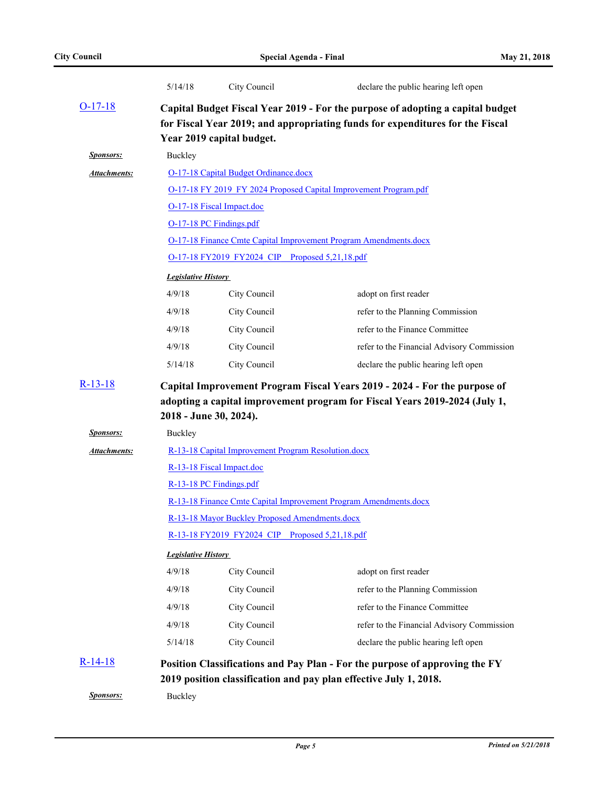|                  | 5/14/18                                                                                          | City Council                                   | declare the public hearing left open                                                                                                                            |  |  |
|------------------|--------------------------------------------------------------------------------------------------|------------------------------------------------|-----------------------------------------------------------------------------------------------------------------------------------------------------------------|--|--|
| $O-17-18$        |                                                                                                  | Year 2019 capital budget.                      | Capital Budget Fiscal Year 2019 - For the purpose of adopting a capital budget<br>for Fiscal Year 2019; and appropriating funds for expenditures for the Fiscal |  |  |
| <b>Sponsors:</b> | Buckley                                                                                          |                                                |                                                                                                                                                                 |  |  |
| Attachments:     |                                                                                                  | O-17-18 Capital Budget Ordinance.docx          |                                                                                                                                                                 |  |  |
|                  |                                                                                                  |                                                | O-17-18 FY 2019 FY 2024 Proposed Capital Improvement Program.pdf                                                                                                |  |  |
|                  |                                                                                                  | O-17-18 Fiscal Impact.doc                      |                                                                                                                                                                 |  |  |
|                  |                                                                                                  | O-17-18 PC Findings.pdf                        |                                                                                                                                                                 |  |  |
|                  |                                                                                                  |                                                | <b>O-17-18 Finance Cmte Capital Improvement Program Amendments.docx</b>                                                                                         |  |  |
|                  |                                                                                                  | O-17-18 FY2019 FY2024 CIP Proposed 5,21,18.pdf |                                                                                                                                                                 |  |  |
|                  | <b>Legislative History</b>                                                                       |                                                |                                                                                                                                                                 |  |  |
|                  | 4/9/18<br>City Council<br>adopt on first reader                                                  |                                                |                                                                                                                                                                 |  |  |
|                  | 4/9/18<br>City Council<br>refer to the Planning Commission                                       |                                                |                                                                                                                                                                 |  |  |
|                  | refer to the Finance Committee<br>4/9/18<br>City Council                                         |                                                |                                                                                                                                                                 |  |  |
|                  | 4/9/18                                                                                           | City Council                                   | refer to the Financial Advisory Commission                                                                                                                      |  |  |
|                  | 5/14/18                                                                                          | City Council                                   | declare the public hearing left open                                                                                                                            |  |  |
| $R-13-18$        | 2018 - June 30, 2024).                                                                           |                                                | Capital Improvement Program Fiscal Years 2019 - 2024 - For the purpose of<br>adopting a capital improvement program for Fiscal Years 2019-2024 (July 1,         |  |  |
| <b>Sponsors:</b> | Buckley                                                                                          |                                                |                                                                                                                                                                 |  |  |
| Attachments:     | R-13-18 Capital Improvement Program Resolution.docx<br>R-13-18 Fiscal Impact.doc                 |                                                |                                                                                                                                                                 |  |  |
|                  |                                                                                                  |                                                |                                                                                                                                                                 |  |  |
|                  | R-13-18 PC Findings.pdf                                                                          |                                                |                                                                                                                                                                 |  |  |
|                  |                                                                                                  |                                                | R-13-18 Finance Cmte Capital Improvement Program Amendments.docx                                                                                                |  |  |
|                  | R-13-18 Mayor Buckley Proposed Amendments.docx<br>R-13-18 FY2019 FY2024 CIP Proposed 5,21,18.pdf |                                                |                                                                                                                                                                 |  |  |
|                  |                                                                                                  |                                                |                                                                                                                                                                 |  |  |
|                  | <b>Legislative History</b>                                                                       |                                                |                                                                                                                                                                 |  |  |
|                  | 4/9/18                                                                                           | City Council                                   | adopt on first reader                                                                                                                                           |  |  |
|                  | 4/9/18                                                                                           | City Council                                   | refer to the Planning Commission                                                                                                                                |  |  |
|                  | 4/9/18                                                                                           | City Council                                   | refer to the Finance Committee                                                                                                                                  |  |  |
|                  | 4/9/18                                                                                           | City Council                                   | refer to the Financial Advisory Commission                                                                                                                      |  |  |
|                  | 5/14/18                                                                                          | City Council                                   | declare the public hearing left open                                                                                                                            |  |  |
| $R-14-18$        |                                                                                                  |                                                | Position Classifications and Pay Plan - For the purpose of approving the FY<br>2019 position classification and pay plan effective July 1, 2018.                |  |  |
| <b>Sponsors:</b> | Buckley                                                                                          |                                                |                                                                                                                                                                 |  |  |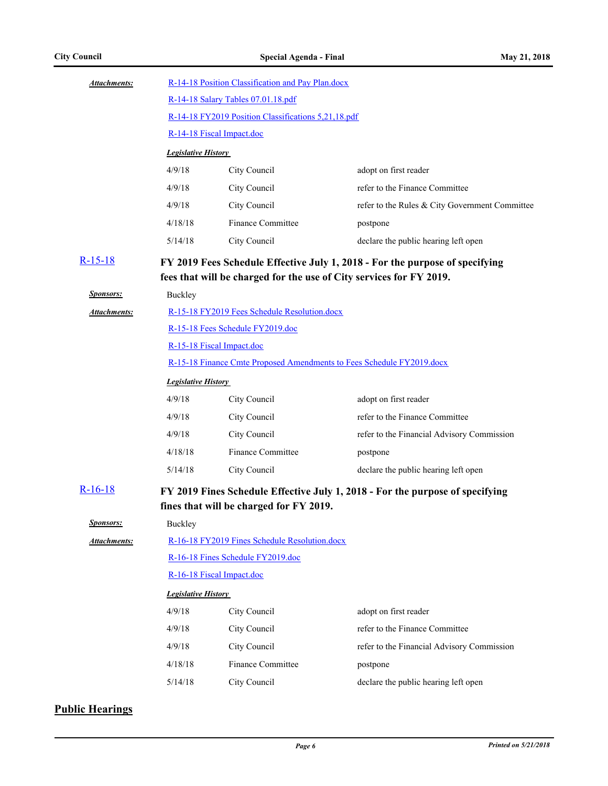| <b>Attachments:</b> |                                                                       | R-14-18 Position Classification and Pay Plan.docx |                                                                               |  |  |
|---------------------|-----------------------------------------------------------------------|---------------------------------------------------|-------------------------------------------------------------------------------|--|--|
|                     |                                                                       | R-14-18 Salary Tables 07.01.18.pdf                |                                                                               |  |  |
|                     | R-14-18 FY2019 Position Classifications 5,21,18.pdf                   |                                                   |                                                                               |  |  |
|                     |                                                                       | R-14-18 Fiscal Impact.doc                         |                                                                               |  |  |
|                     | <b>Legislative History</b>                                            |                                                   |                                                                               |  |  |
|                     | 4/9/18                                                                | City Council                                      | adopt on first reader                                                         |  |  |
|                     | 4/9/18                                                                | City Council                                      | refer to the Finance Committee                                                |  |  |
|                     | 4/9/18                                                                | City Council                                      | refer to the Rules & City Government Committee                                |  |  |
|                     | 4/18/18                                                               | <b>Finance Committee</b>                          | postpone                                                                      |  |  |
|                     | 5/14/18                                                               | City Council                                      | declare the public hearing left open                                          |  |  |
| $R-15-18$           |                                                                       |                                                   | FY 2019 Fees Schedule Effective July 1, 2018 - For the purpose of specifying  |  |  |
|                     |                                                                       |                                                   | fees that will be charged for the use of City services for FY 2019.           |  |  |
| <b>Sponsors:</b>    | Buckley                                                               |                                                   |                                                                               |  |  |
| Attachments:        |                                                                       | R-15-18 FY2019 Fees Schedule Resolution.docx      |                                                                               |  |  |
|                     |                                                                       | R-15-18 Fees Schedule FY2019.doc                  |                                                                               |  |  |
|                     | R-15-18 Fiscal Impact.doc                                             |                                                   |                                                                               |  |  |
|                     | R-15-18 Finance Cmte Proposed Amendments to Fees Schedule FY2019.docx |                                                   |                                                                               |  |  |
|                     | <b>Legislative History</b>                                            |                                                   |                                                                               |  |  |
|                     | 4/9/18                                                                | City Council                                      | adopt on first reader                                                         |  |  |
|                     | 4/9/18                                                                | City Council                                      | refer to the Finance Committee                                                |  |  |
|                     | 4/9/18                                                                | City Council                                      | refer to the Financial Advisory Commission                                    |  |  |
|                     | 4/18/18                                                               | <b>Finance Committee</b>                          | postpone                                                                      |  |  |
|                     | 5/14/18                                                               | City Council                                      | declare the public hearing left open                                          |  |  |
| $R-16-18$           |                                                                       |                                                   | FY 2019 Fines Schedule Effective July 1, 2018 - For the purpose of specifying |  |  |
|                     |                                                                       | fines that will be charged for FY 2019.           |                                                                               |  |  |
| <b>Sponsors:</b>    | Buckley                                                               |                                                   |                                                                               |  |  |
| <b>Attachments:</b> |                                                                       | R-16-18 FY2019 Fines Schedule Resolution.docx     |                                                                               |  |  |
|                     |                                                                       | R-16-18 Fines Schedule FY2019.doc                 |                                                                               |  |  |
|                     |                                                                       | R-16-18 Fiscal Impact.doc                         |                                                                               |  |  |
|                     | <b>Legislative History</b>                                            |                                                   |                                                                               |  |  |
|                     | 4/9/18                                                                | City Council                                      | adopt on first reader                                                         |  |  |
|                     | 4/9/18                                                                | City Council                                      | refer to the Finance Committee                                                |  |  |
|                     | 4/9/18                                                                | City Council                                      | refer to the Financial Advisory Commission                                    |  |  |
|                     | 4/18/18                                                               | <b>Finance Committee</b>                          | postpone                                                                      |  |  |
|                     | 5/14/18                                                               | City Council                                      | declare the public hearing left open                                          |  |  |

#### **Public Hearings**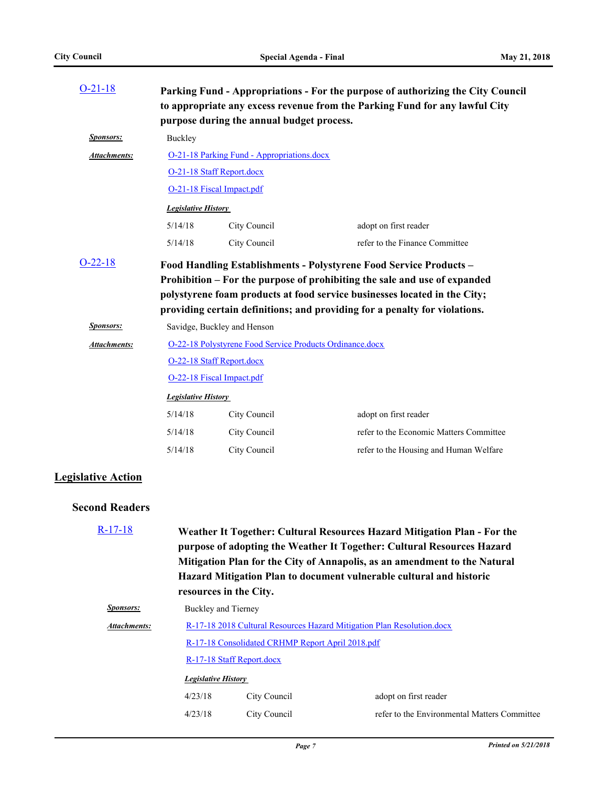| $O-21-18$                 |                            | purpose during the annual budget process.                | Parking Fund - Appropriations - For the purpose of authorizing the City Council<br>to appropriate any excess revenue from the Parking Fund for any lawful City                                                                                                                                             |
|---------------------------|----------------------------|----------------------------------------------------------|------------------------------------------------------------------------------------------------------------------------------------------------------------------------------------------------------------------------------------------------------------------------------------------------------------|
| <b>Sponsors:</b>          | Buckley                    |                                                          |                                                                                                                                                                                                                                                                                                            |
| Attachments:              |                            | O-21-18 Parking Fund - Appropriations.docx               |                                                                                                                                                                                                                                                                                                            |
|                           |                            | O-21-18 Staff Report.docx                                |                                                                                                                                                                                                                                                                                                            |
|                           |                            | O-21-18 Fiscal Impact.pdf                                |                                                                                                                                                                                                                                                                                                            |
|                           | <b>Legislative History</b> |                                                          |                                                                                                                                                                                                                                                                                                            |
|                           | 5/14/18                    | City Council                                             | adopt on first reader                                                                                                                                                                                                                                                                                      |
|                           | 5/14/18                    | City Council                                             | refer to the Finance Committee                                                                                                                                                                                                                                                                             |
| $O-22-18$                 |                            |                                                          | Food Handling Establishments - Polystyrene Food Service Products -<br>Prohibition - For the purpose of prohibiting the sale and use of expanded<br>polystyrene foam products at food service businesses located in the City;<br>providing certain definitions; and providing for a penalty for violations. |
| <b>Sponsors:</b>          |                            | Savidge, Buckley and Henson                              |                                                                                                                                                                                                                                                                                                            |
| Attachments:              |                            | O-22-18 Polystyrene Food Service Products Ordinance.docx |                                                                                                                                                                                                                                                                                                            |
|                           |                            | O-22-18 Staff Report.docx                                |                                                                                                                                                                                                                                                                                                            |
|                           |                            | O-22-18 Fiscal Impact.pdf                                |                                                                                                                                                                                                                                                                                                            |
|                           | <b>Legislative History</b> |                                                          |                                                                                                                                                                                                                                                                                                            |
|                           | 5/14/18                    | City Council                                             | adopt on first reader                                                                                                                                                                                                                                                                                      |
|                           | 5/14/18                    | City Council                                             | refer to the Economic Matters Committee                                                                                                                                                                                                                                                                    |
|                           | 5/14/18                    | City Council                                             | refer to the Housing and Human Welfare                                                                                                                                                                                                                                                                     |
| <b>Legislative Action</b> |                            |                                                          |                                                                                                                                                                                                                                                                                                            |
| <b>Second Readers</b>     |                            |                                                          |                                                                                                                                                                                                                                                                                                            |
| $R-17-18$                 |                            | resources in the City.                                   | Weather It Together: Cultural Resources Hazard Mitigation Plan - For the<br>purpose of adopting the Weather It Together: Cultural Resources Hazard<br>Mitigation Plan for the City of Annapolis, as an amendment to the Natural<br>Hazard Mitigation Plan to document vulnerable cultural and historic     |

| <i>Sponsors:</i> |                     | Buckley and Tierney                                                    |                                              |  |  |
|------------------|---------------------|------------------------------------------------------------------------|----------------------------------------------|--|--|
| Attachments:     |                     | R-17-18 2018 Cultural Resources Hazard Mitigation Plan Resolution.docx |                                              |  |  |
|                  |                     | R-17-18 Consolidated CRHMP Report April 2018.pdf                       |                                              |  |  |
|                  |                     | R-17-18 Staff Report.docx                                              |                                              |  |  |
|                  | Legislative History |                                                                        |                                              |  |  |
|                  | 4/23/18             | City Council                                                           | adopt on first reader                        |  |  |
|                  | 4/23/18             | City Council                                                           | refer to the Environmental Matters Committee |  |  |